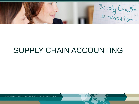Supply Chain

# SUPPLY CHAIN ACCOUNTING

KONKURRENCEKR AFT GENNEM SUPPLY CHAIN INNOVATION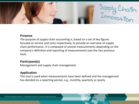

#### **Purpose**

The purpose of supply chain accounting is, based on a set of key figures focused on service and costs respectively, to provide an overview of supply chain performance. It is composed of several measurements depending on the company's definition and reporting of measurements (see the two previous tools.

# **Participant(s)**

Management and supply chain management.

### **Application**

This tool is used when measurements have been defined and the management has decided on a reporting period, e.g., monthly, quarterly or yearly.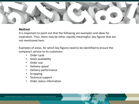

### **Method**

It is important to point out that the following are examples and ideas for inspiration. Thus, there may be other, equally meaningful, key figures that are not mentioned here.

Examples of areas, for which key figures need to be identified to ensure the company's service to its customers:

- Order cycle
- Stock availability
- Order size
- Delivery speed
- Delivery performance
- **Scrapping**
- Technical support
- Order status information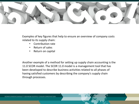

Examples of key figures that help to ensure an overview of company costs related to its supply chain:

- Contribution rate
- Return of sales
- Return on capital

Another example of a method for setting up supply chain accounting is the 11.0 SCOR model. The SCOR 11.0 model is a management tool that has been developed to describe business activities related to all phases of having satisfied customers by describing the company's supply chain through processes.